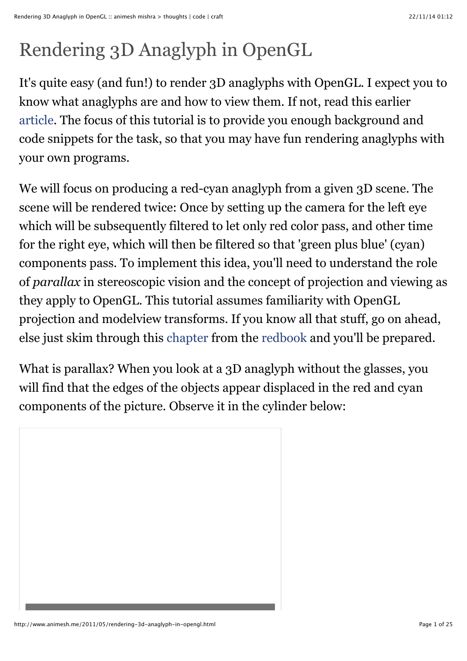# Rendering 3D Anaglyph in OpenGL

It's quite easy (and fun!) to render 3D anaglyphs with OpenGL. I expect you to know what anaglyphs are and how to view them. If not, read this earlier [article.](http://quiescentspark.blogspot.com/2011/04/poor-mans-stereo-3d.html) The focus of this tutorial is to provide you enough background and code snippets for the task, so that you may have fun rendering anaglyphs with your own programs.

We will focus on producing a red-cyan anaglyph from a given 3D scene. The scene will be rendered twice: Once by setting up the camera for the left eye which will be subsequently filtered to let only red color pass, and other time for the right eye, which will then be filtered so that 'green plus blue' (cyan) components pass. To implement this idea, you'll need to understand the role of *parallax* in stereoscopic vision and the concept of projection and viewing as they apply to OpenGL. This tutorial assumes familiarity with OpenGL projection and modelview transforms. If you know all that stuff, go on ahead, else just skim through this [chapter](http://fly.cc.fer.hr/%7Eunreal/theredbook/chapter03.html) from the [redbook](http://www.opengl.org/documentation/red_book/) and you'll be prepared.

What is parallax? When you look at a 3D anaglyph without the glasses, you will find that the edges of the objects appear displaced in the red and cyan components of the picture. Observe it in the cylinder below:

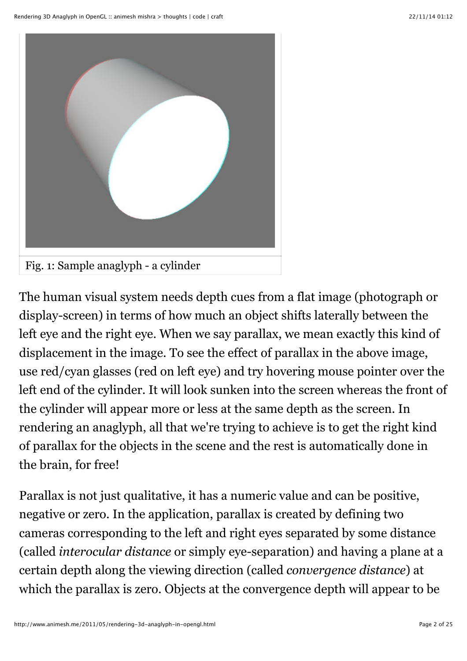

The human visual system needs depth cues from a flat image (photograph or display-screen) in terms of how much an object shifts laterally between the left eye and the right eye. When we say parallax, we mean exactly this kind of displacement in the image. To see the effect of parallax in the above image, use red/cyan glasses (red on left eye) and try hovering mouse pointer over the left end of the cylinder. It will look sunken into the screen whereas the front of the cylinder will appear more or less at the same depth as the screen. In rendering an anaglyph, all that we're trying to achieve is to get the right kind of parallax for the objects in the scene and the rest is automatically done in the brain, for free!

Parallax is not just qualitative, it has a numeric value and can be positive, negative or zero. In the application, parallax is created by defining two cameras corresponding to the left and right eyes separated by some distance (called *interocular distance* or simply eye-separation) and having a plane at a certain depth along the viewing direction (called *convergence distance*) at which the parallax is zero. Objects at the convergence depth will appear to be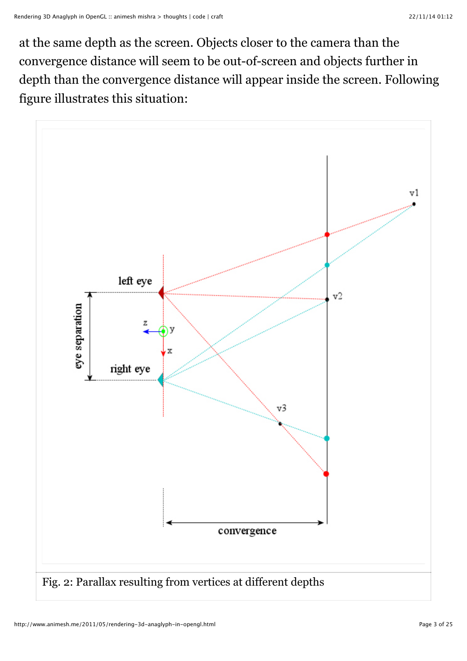at the same depth as the screen. Objects closer to the camera than the convergence distance will seem to be out-of-screen and objects further in depth than the convergence distance will appear inside the screen. Following figure illustrates this situation:

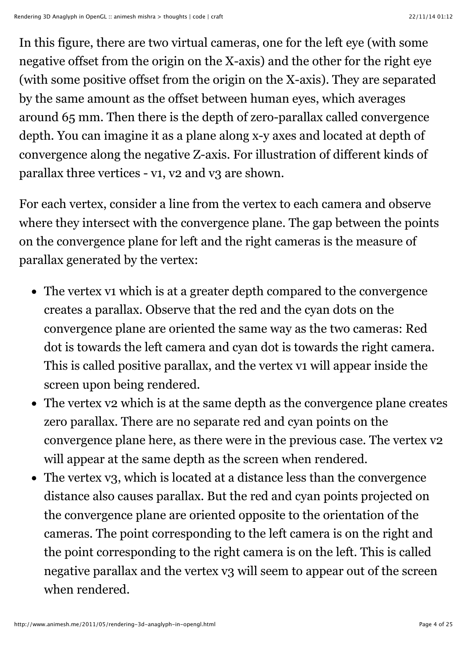In this figure, there are two virtual cameras, one for the left eye (with some negative offset from the origin on the X-axis) and the other for the right eye (with some positive offset from the origin on the X-axis). They are separated by the same amount as the offset between human eyes, which averages around 65 mm. Then there is the depth of zero-parallax called convergence depth. You can imagine it as a plane along x-y axes and located at depth of convergence along the negative Z-axis. For illustration of different kinds of parallax three vertices - v1, v2 and v3 are shown.

For each vertex, consider a line from the vertex to each camera and observe where they intersect with the convergence plane. The gap between the points on the convergence plane for left and the right cameras is the measure of parallax generated by the vertex:

- The vertex v1 which is at a greater depth compared to the convergence creates a parallax. Observe that the red and the cyan dots on the convergence plane are oriented the same way as the two cameras: Red dot is towards the left camera and cyan dot is towards the right camera. This is called positive parallax, and the vertex v1 will appear inside the screen upon being rendered.
- The vertex v2 which is at the same depth as the convergence plane creates zero parallax. There are no separate red and cyan points on the convergence plane here, as there were in the previous case. The vertex v2 will appear at the same depth as the screen when rendered.
- The vertex v3, which is located at a distance less than the convergence distance also causes parallax. But the red and cyan points projected on the convergence plane are oriented opposite to the orientation of the cameras. The point corresponding to the left camera is on the right and the point corresponding to the right camera is on the left. This is called negative parallax and the vertex v3 will seem to appear out of the screen when rendered.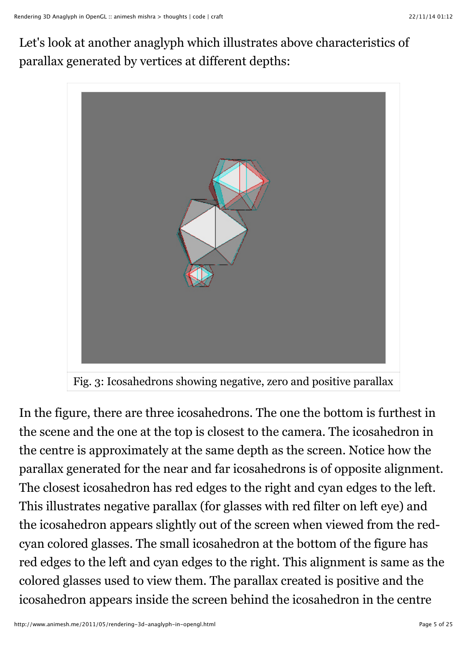Let's look at another anaglyph which illustrates above characteristics of parallax generated by vertices at different depths:





In the figure, there are three icosahedrons. The one the bottom is furthest in the scene and the one at the top is closest to the camera. The icosahedron in the centre is approximately at the same depth as the screen. Notice how the parallax generated for the near and far icosahedrons is of opposite alignment. The closest icosahedron has red edges to the right and cyan edges to the left. This illustrates negative parallax (for glasses with red filter on left eye) and the icosahedron appears slightly out of the screen when viewed from the redcyan colored glasses. The small icosahedron at the bottom of the figure has red edges to the left and cyan edges to the right. This alignment is same as the colored glasses used to view them. The parallax created is positive and the icosahedron appears inside the screen behind the icosahedron in the centre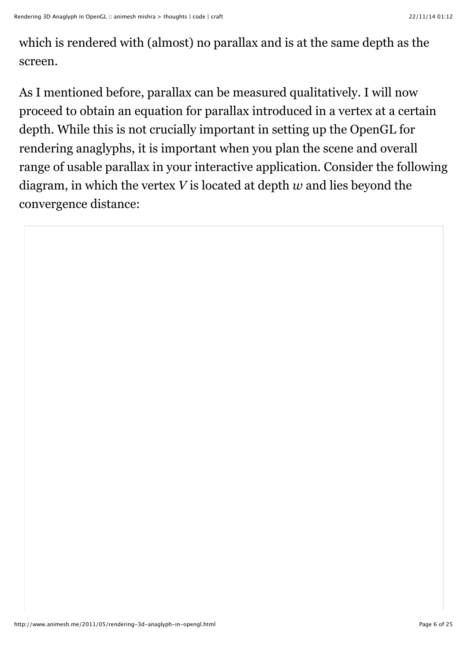which is rendered with (almost) no parallax and is at the same depth as the screen.

As I mentioned before, parallax can be measured qualitatively. I will now proceed to obtain an equation for parallax introduced in a vertex at a certain depth. While this is not crucially important in setting up the OpenGL for rendering anaglyphs, it is important when you plan the scene and overall range of usable parallax in your interactive application. Consider the following diagram, in which the vertex *V* is located at depth *w* and lies beyond the convergence distance: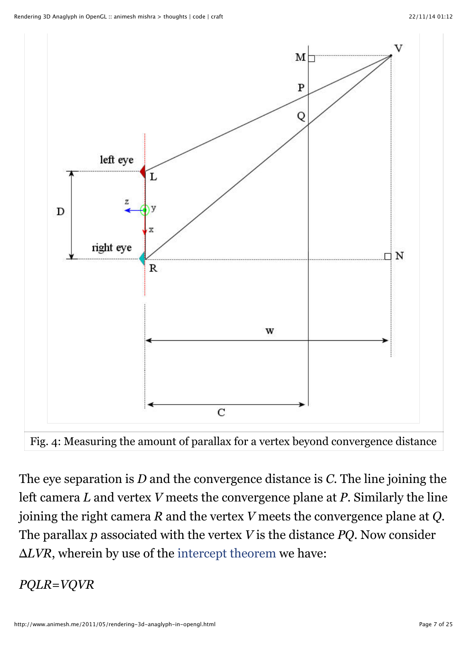

Fig. 4: Measuring the amount of parallax for a vertex beyond convergence distance

The eye separation is *D* and the convergence distance is *C*. The line joining the left camera *L* and vertex *V* meets the convergence plane at *P*. Similarly the line joining the right camera *R* and the vertex *V* meets the convergence plane at *Q*. The parallax *p* associated with the vertex *V* is the distance *PQ*. Now consider Δ*LVR*, wherein by use of the [intercept theorem](http://en.wikipedia.org/wiki/Intercept_theorem) we have:

#### *PQLR*=*VQVR*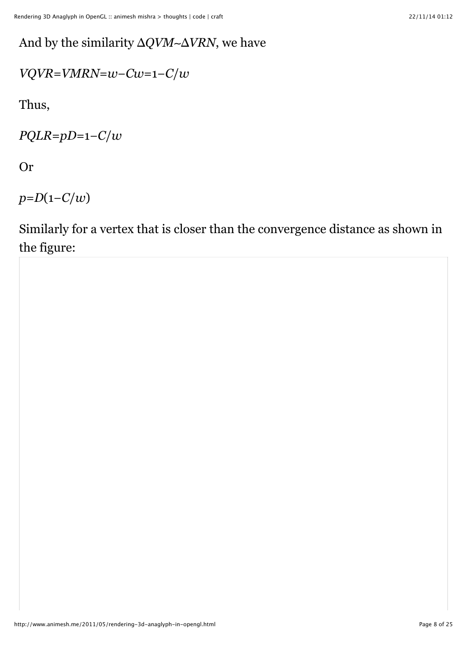## And by the similarity Δ*QVM*∼Δ*VRN*, we have

$$
VQVR = VMRN = w - Cw = 1 - C/w
$$

Thus,

*PQLR*=*pD*=1−*C*/*w*

Or

*p*=*D*(1−*C*/*w*)

Similarly for a vertex that is closer than the convergence distance as shown in the figure: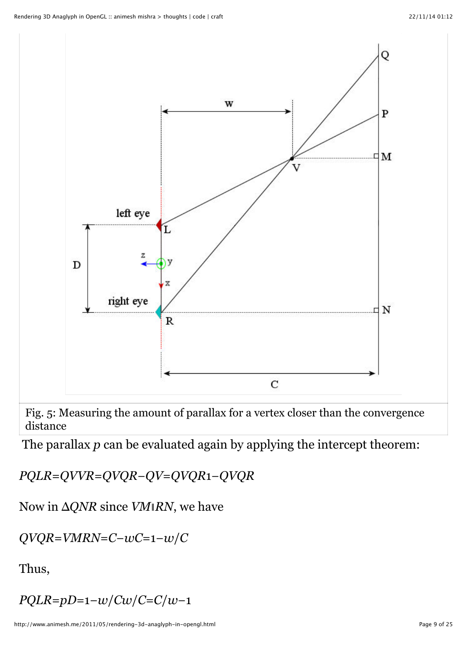

Fig. 5: Measuring the amount of parallax for a vertex closer than the convergence distance

The parallax *p* can be evaluated again by applying the intercept theorem:

*PQLR*=*QVVR*=*QVQR*−*QV*=*QVQR*1−*QVQR*

Now in Δ*QNR* since *VM*∥*RN*, we have

*QVQR*=*VMRN*=*C*−*wC*=1−*w*/*C*

Thus,

*PQLR*=*pD*=1−*w*/*Cw*/*C*=*C*/*w*−1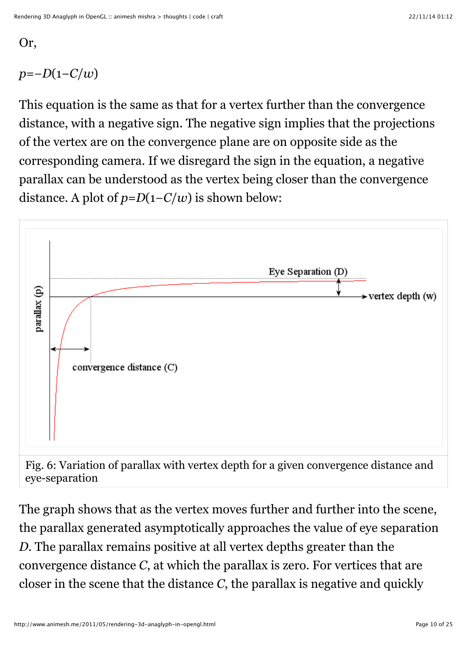#### Or,

# *p*=−*D*(1−*C*/*w*)

This equation is the same as that for a vertex further than the convergence distance, with a negative sign. The negative sign implies that the projections of the vertex are on the convergence plane are on opposite side as the corresponding camera. If we disregard the sign in the equation, a negative parallax can be understood as the vertex being closer than the convergence distance. A plot of  $p = D(1 - C/w)$  is shown below:



The graph shows that as the vertex moves further and further into the scene, the parallax generated asymptotically approaches the value of eye separation *D*. The parallax remains positive at all vertex depths greater than the convergence distance *C*, at which the parallax is zero. For vertices that are closer in the scene that the distance *C*, the parallax is negative and quickly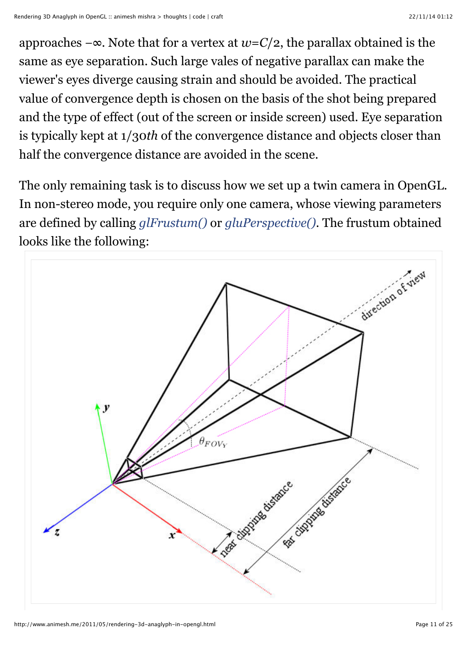approaches −∞. Note that for a vertex at *w*=*C*/2, the parallax obtained is the same as eye separation. Such large vales of negative parallax can make the viewer's eyes diverge causing strain and should be avoided. The practical value of convergence depth is chosen on the basis of the shot being prepared and the type of effect (out of the screen or inside screen) used. Eye separation is typically kept at 1/30*th* of the convergence distance and objects closer than half the convergence distance are avoided in the scene.

The only remaining task is to discuss how we set up a twin camera in OpenGL. In non-stereo mode, you require only one camera, whose viewing parameters are defined by calling *[glFrustum\(\)](http://www.opengl.org/sdk/docs/man/xhtml/glFrustum.xml)* or *[gluPerspective\(\)](http://www.opengl.org/sdk/docs/man/xhtml/gluPerspective.xml)*. The frustum obtained looks like the following:

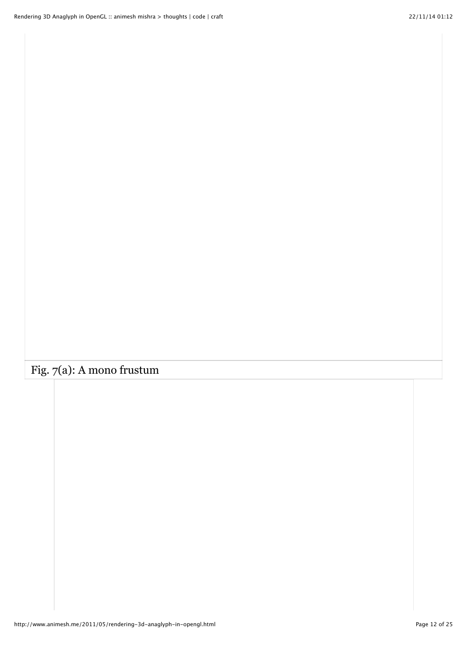# Fig. 7(a): A mono frustum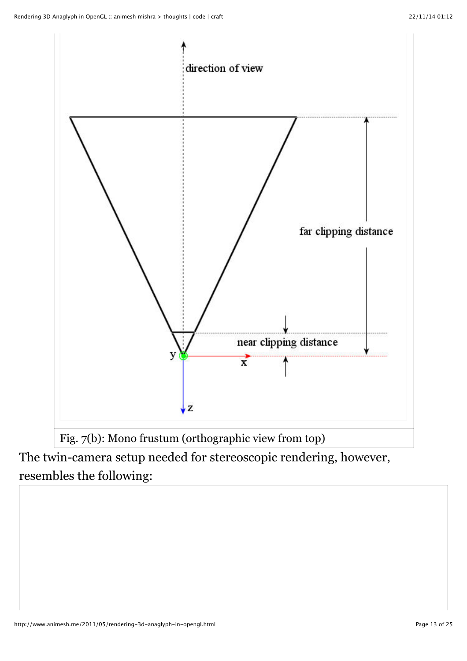

Fig. 7(b): Mono frustum (orthographic view from top)

The twin-camera setup needed for stereoscopic rendering, however, resembles the following: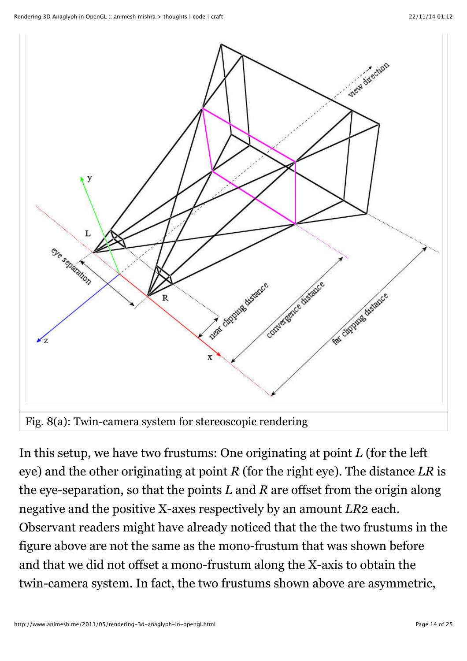

In this setup, we have two frustums: One originating at point *L* (for the left eye) and the other originating at point *R* (for the right eye). The distance *LR* is the eye-separation, so that the points *L* and *R* are offset from the origin along negative and the positive X-axes respectively by an amount *LR*2 each. Observant readers might have already noticed that the the two frustums in the figure above are not the same as the mono-frustum that was shown before and that we did not offset a mono-frustum along the X-axis to obtain the twin-camera system. In fact, the two frustums shown above are asymmetric,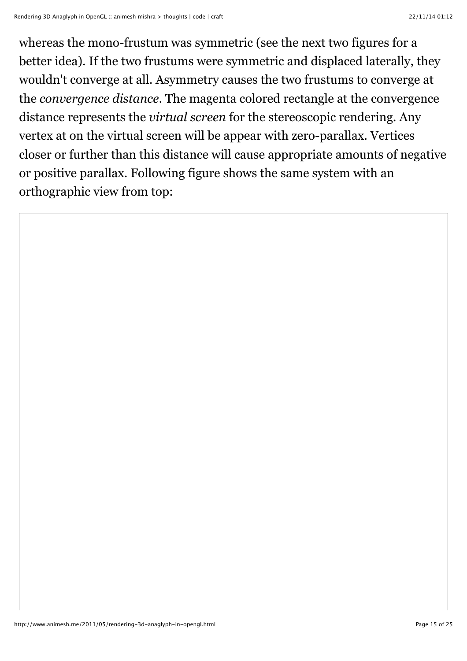whereas the mono-frustum was symmetric (see the next two figures for a better idea). If the two frustums were symmetric and displaced laterally, they wouldn't converge at all. Asymmetry causes the two frustums to converge at the *convergence distance*. The magenta colored rectangle at the convergence distance represents the *virtual screen* for the stereoscopic rendering. Any vertex at on the virtual screen will be appear with zero-parallax. Vertices closer or further than this distance will cause appropriate amounts of negative or positive parallax. Following figure shows the same system with an orthographic view from top: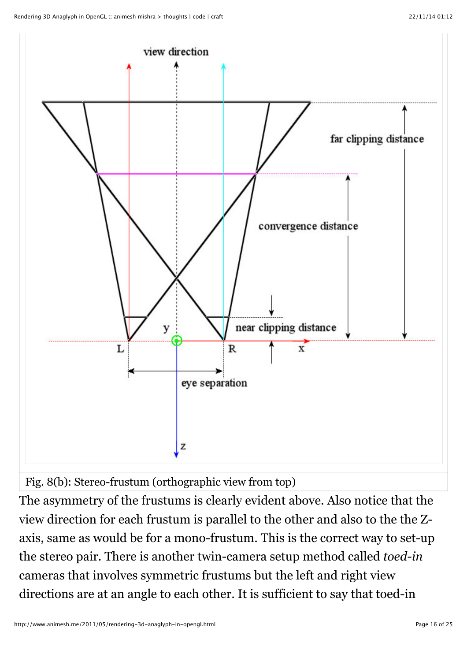

Fig. 8(b): Stereo-frustum (orthographic view from top)

The asymmetry of the frustums is clearly evident above. Also notice that the view direction for each frustum is parallel to the other and also to the the Zaxis, same as would be for a mono-frustum. This is the correct way to set-up the stereo pair. There is another twin-camera setup method called *toed-in* cameras that involves symmetric frustums but the left and right view directions are at an angle to each other. It is sufficient to say that toed-in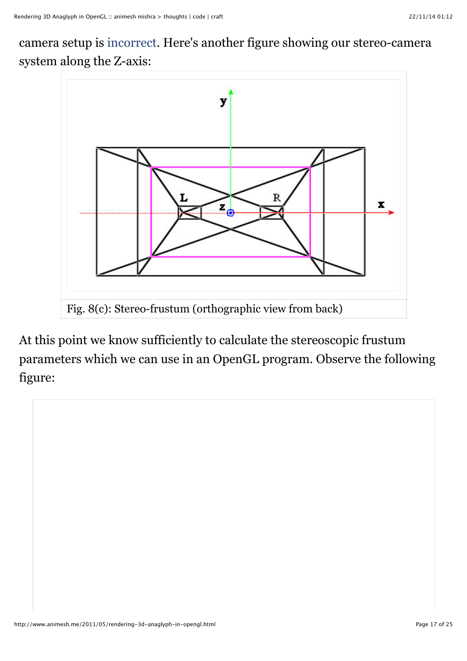camera setup is [incorrect.](http://www.cecs.uci.edu/%7Epapers/icme06/pdfs/0001701.pdf) Here's another figure showing our stereo-camera system along the Z-axis:



At this point we know sufficiently to calculate the stereoscopic frustum parameters which we can use in an OpenGL program. Observe the following figure:

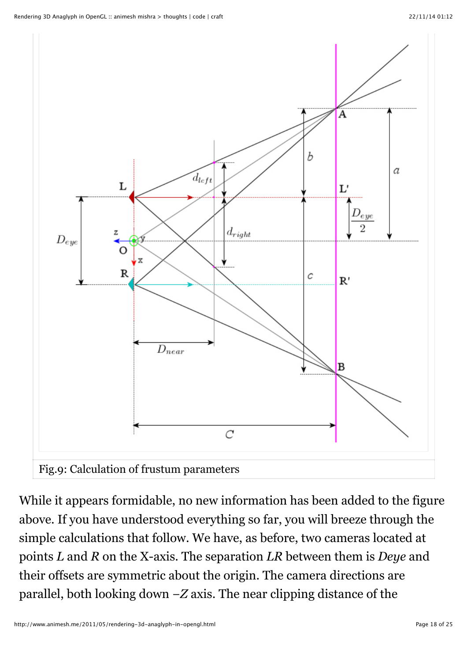

While it appears formidable, no new information has been added to the figure above. If you have understood everything so far, you will breeze through the simple calculations that follow. We have, as before, two cameras located at points *L* and *R* on the X-axis. The separation *LR* between them is *Deye* and their offsets are symmetric about the origin. The camera directions are parallel, both looking down −*Z* axis. The near clipping distance of the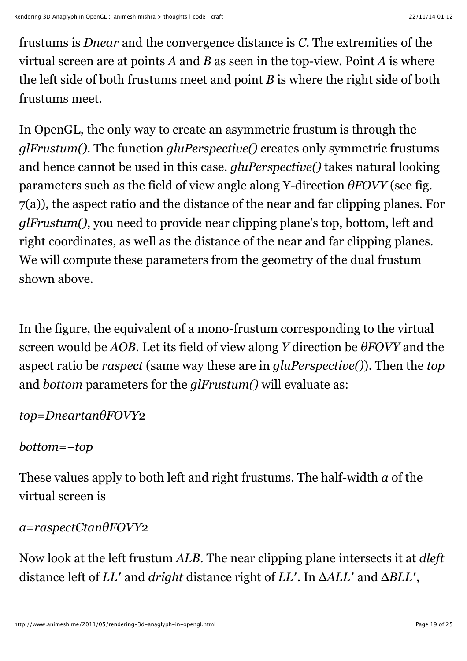frustums is *Dnear* and the convergence distance is *C*. The extremities of the virtual screen are at points *A* and *B* as seen in the top-view. Point *A* is where the left side of both frustums meet and point *B* is where the right side of both frustums meet.

In OpenGL, the only way to create an asymmetric frustum is through the *glFrustum()*. The function *gluPerspective()* creates only symmetric frustums and hence cannot be used in this case. *gluPerspective()* takes natural looking parameters such as the field of view angle along Y-direction *θFOVY* (see fig. 7(a)), the aspect ratio and the distance of the near and far clipping planes. For *glFrustum()*, you need to provide near clipping plane's top, bottom, left and right coordinates, as well as the distance of the near and far clipping planes. We will compute these parameters from the geometry of the dual frustum shown above.

In the figure, the equivalent of a mono-frustum corresponding to the virtual screen would be *AOB*. Let its field of view along *Y* direction be *θFOVY* and the aspect ratio be *raspect* (same way these are in *gluPerspective()*). Then the *top* and *bottom* parameters for the *glFrustum()* will evaluate as:

*top*=*DneartanθFOVY*2

*bottom*=−*top*

These values apply to both left and right frustums. The half-width *a* of the virtual screen is

*a*=*raspectCtanθFOVY*2

Now look at the left frustum *ALB*. The near clipping plane intersects it at *dleft* distance left of *LL*′ and *dright* distance right of *LL*′. In Δ*ALL*′ and Δ*BLL*′ ,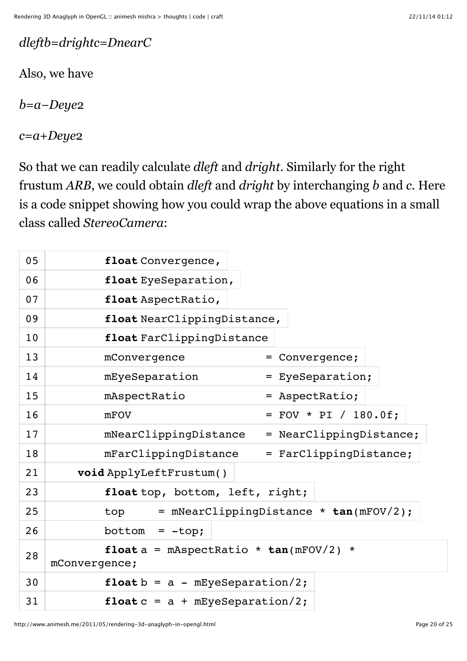*dleftb*=*drightc*=*DnearC*

Also, we have

*b*=*a*−*Deye*2

*c*=*a*+*Deye*2

So that we can readily calculate *dleft* and *dright*. Similarly for the right frustum *ARB*, we could obtain *dleft* and *dright* by interchanging *b* and *c*. Here is a code snippet showing how you could wrap the above equations in a small class called *StereoCamera*:

| 05 | float Convergence,                                         |
|----|------------------------------------------------------------|
| 06 | float EyeSeparation,                                       |
| 07 | float AspectRatio,                                         |
| 09 | float NearClippingDistance,                                |
| 10 | float FarClippingDistance                                  |
| 13 | mConvergence<br>= Convergence;                             |
| 14 | mEyeSeparation<br>= EyeSeparation;                         |
| 15 | mAspectRatio<br>= AspectRatio;                             |
| 16 | $=$ FOV * PI / 180.0f;<br>mFOV                             |
| 17 | mNearClippingDistance<br>= NearClippingDistance;           |
| 18 | = FarClippingDistance;<br>mFarClippingDistance             |
| 21 | void ApplyLeftFrustum()                                    |
| 23 | float top, bottom, left, right;                            |
| 25 | $=$ mNearClippingDistance $*$ tan(mFOV/2);<br>top          |
| 26 | bottom<br>$= -top;$                                        |
| 28 | float $a = m$ AspectRatio * tan(mFOV/2) *<br>mConvergence; |
| 30 | float $b = a - mEyeSeparation/2$ ;                         |
| 31 | float $c = a + mEyeSeparation/2$ ;                         |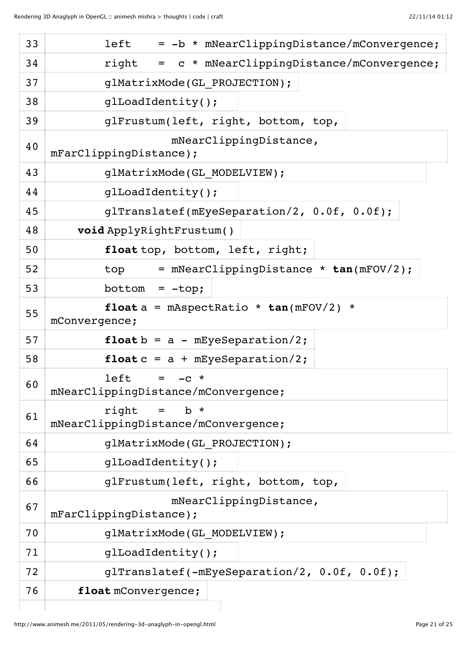| 33 | left<br>= -b * mNearClippingDistance/mConvergence;         |
|----|------------------------------------------------------------|
| 34 | right = c * mNearClippingDistance/mConvergence;            |
| 37 | glMatrixMode(GL PROJECTION);                               |
| 38 | qlLoadIdentity();                                          |
| 39 | glFrustum(left, right, bottom, top,                        |
| 40 | mNearClippingDistance,<br>mFarClippingDistance);           |
| 43 | glMatrixMode(GL MODELVIEW);                                |
| 44 | glLoadIdentity();                                          |
| 45 | glTranslatef(mEyeSeparation/2, 0.0f, 0.0f);                |
| 48 | void ApplyRightFrustum()                                   |
| 50 | float top, bottom, left, right;                            |
| 52 | top = mNearClippingDistance * $tan(mFOV/2)$ ;              |
| 53 | $bottom = -top;$                                           |
| 55 | float $a = m$ AspectRatio * tan(mFOV/2) *<br>mConvergence; |
| 57 | float $b = a - mEyeSeparation/2$ ;                         |
| 58 | float $c = a + mEyeSeparation/2$ ;                         |
| 60 | left<br>$=$ $-C$ *<br>mNearClippingDistance/mConvergence;  |
| 61 | right<br>$=$ b $*$<br>mNearClippingDistance/mConvergence;  |
| 64 | glMatrixMode(GL_PROJECTION);                               |
| 65 | glLoadIdentity();                                          |
| 66 | glFrustum(left, right, bottom, top,                        |
| 67 | mNearClippingDistance,<br>mFarClippingDistance);           |
| 70 | glMatrixMode(GL MODELVIEW);                                |
| 71 | glLoadIdentity();                                          |
| 72 | glTranslatef(-mEyeSeparation/2, 0.0f, 0.0f);               |
| 76 | float mConvergence;                                        |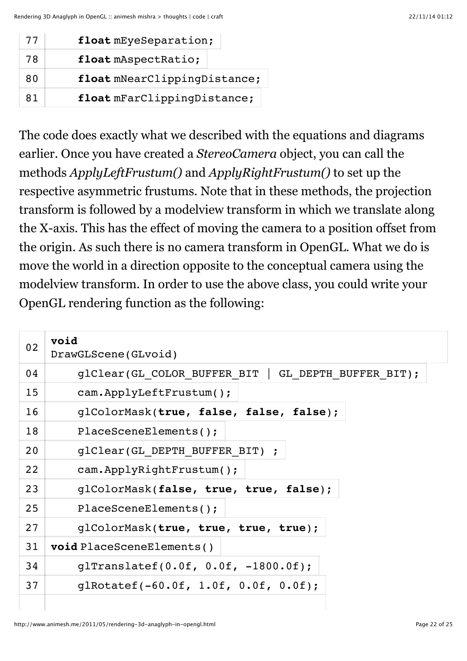| 77 | float mEyeSeparation;        |
|----|------------------------------|
| 78 | float mAspectRatio;          |
| 80 | float mNearClippingDistance; |
| 81 | float mFarClippingDistance;  |

The code does exactly what we described with the equations and diagrams earlier. Once you have created a *StereoCamera* object, you can call the methods *ApplyLeftFrustum()* and *ApplyRightFrustum()* to set up the respective asymmetric frustums. Note that in these methods, the projection transform is followed by a modelview transform in which we translate along the X-axis. This has the effect of moving the camera to a position offset from the origin. As such there is no camera transform in OpenGL. What we do is move the world in a direction opposite to the conceptual camera using the modelview transform. In order to use the above class, you could write your OpenGL rendering function as the following:

| 02 | void<br>DrawGLScene(GLvoid)                            |
|----|--------------------------------------------------------|
| 04 | glClear(GL COLOR BUFFER BIT  <br>GL DEPTH BUFFER BIT); |
| 15 | cam.ApplyLeftFrustum();                                |
| 16 | glColorMask(true, false, false, false);                |
| 18 | PlaceSceneElements();                                  |
| 20 | glClear(GL DEPTH BUFFER BIT) ;                         |
| 22 | cam.ApplyRightFrustum();                               |
| 23 | glColorMask(false, true, true, false);                 |
| 25 | PlaceSceneElements();                                  |
| 27 | glColorMask(true, true, true, true);                   |
| 31 | void PlaceSceneElements()                              |
| 34 | qlTranslatef( $0.0f, 0.0f, -1800.0f$ );                |
| 37 | glRotatef( $-60.0f$ , 1.0f, 0.0f, 0.0f);               |
|    |                                                        |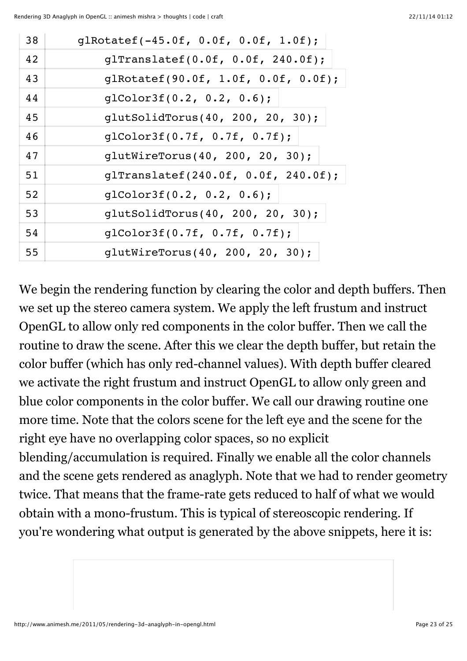| 38 | glRotatef(-45.0f, 0.0f, 0.0f, 1.0f);        |
|----|---------------------------------------------|
| 42 | glTranslatef( $0.0f$ , $0.0f$ , $240.0f$ ); |
| 43 | glRotatef(90.0f, 1.0f, 0.0f, 0.0f);         |
| 44 | qlColor3f(0.2, 0.2, 0.6);                   |
| 45 | glutSolidTorus(40, 200, 20, 30);            |
| 46 | glColor3f(0.7f, 0.7f, 0.7f);                |
| 47 | glutWireTorus(40, 200, 20, 30);             |
| 51 | glTranslatef(240.0f, 0.0f, 240.0f);         |
| 52 | qlColor3f(0.2, 0.2, 0.6);                   |
| 53 | glutSolidTorus(40, 200, 20, 30);            |
| 54 | glColor3f(0.7f, 0.7f, 0.7f);                |
| 55 | glutWireTorus(40, 200, 20, 30);             |

We begin the rendering function by clearing the color and depth buffers. Then we set up the stereo camera system. We apply the left frustum and instruct OpenGL to allow only red components in the color buffer. Then we call the routine to draw the scene. After this we clear the depth buffer, but retain the color buffer (which has only red-channel values). With depth buffer cleared we activate the right frustum and instruct OpenGL to allow only green and blue color components in the color buffer. We call our drawing routine one more time. Note that the colors scene for the left eye and the scene for the right eye have no overlapping color spaces, so no explicit blending/accumulation is required. Finally we enable all the color channels and the scene gets rendered as anaglyph. Note that we had to render geometry twice. That means that the frame-rate gets reduced to half of what we would obtain with a mono-frustum. This is typical of stereoscopic rendering. If you're wondering what output is generated by the above snippets, here it is: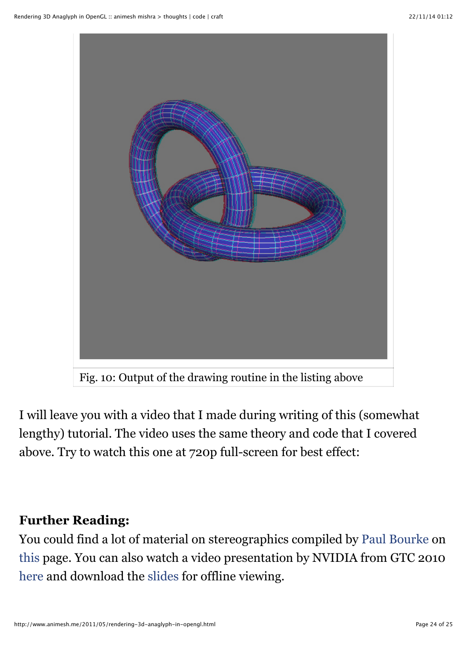

I will leave you with a video that I made during writing of this (somewhat lengthy) tutorial. The video uses the same theory and code that I covered above. Try to watch this one at 720p full-screen for best effect:

#### **Further Reading:**

You could find a lot of material on stereographics compiled by [Paul Bourke](http://local.wasp.uwa.edu.au/%7Epbourke/) on [this](http://paulbourke.net/miscellaneous/stereographics/) page. You can also watch a video presentation by NVIDIA from GTC 2010 [here](http://nvidia.fullviewmedia.com/gtc2010/0920-c-2010.html) and download the [slides](http://www.nvidia.com/content/GTC-2010/pdfs/2010_GTC2010.pdf) for offline viewing.